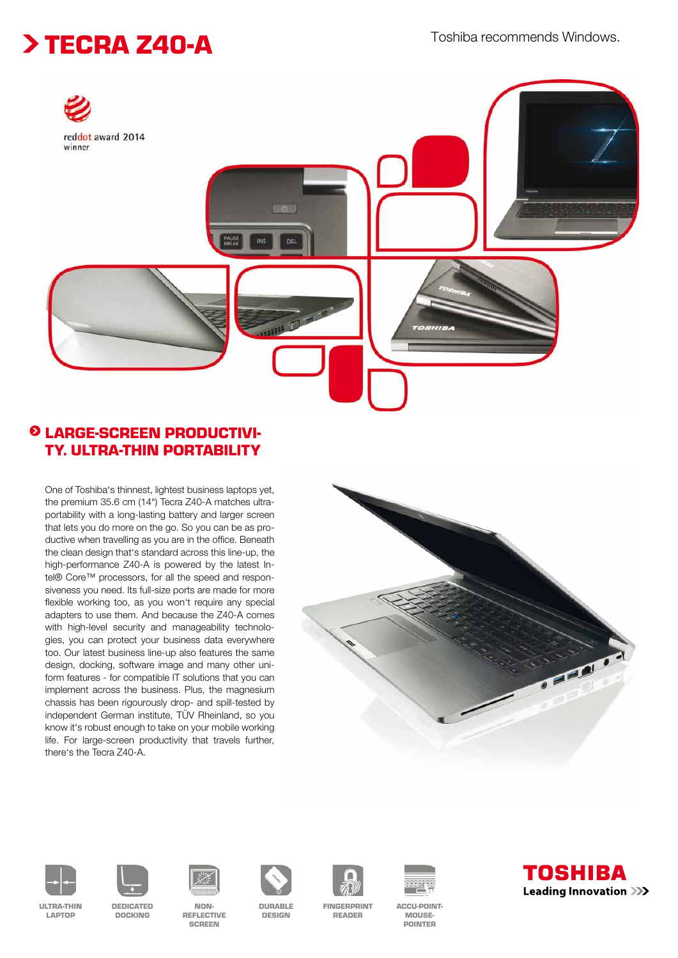## > TECRA Z40-A<br>
Foshiba recommends Windows.



### LARGE-SCREEN PRODUCTIVI-TY. ULTRA-THIN PORTABILITY

One of Toshiba's thinnest, lightest business laptops yet, the premium 35.6 cm (14") Tecra Z40-A matches ultraportability with a long-lasting battery and larger screen that lets you do more on the go. So you can be as productive when travelling as you are in the office. Beneath the clean design that's standard across this line-up, the high-performance Z40-A is powered by the latest Intel® Core™ processors, for all the speed and responsiveness you need. Its full-size ports are made for more flexible working too, as you won't require any special adapters to use them. And because the Z40-A comes with high-level security and manageability technologies, you can protect your business data everywhere too. Our latest business line-up also features the same design, docking, software image and many other uniform features - for compatible IT solutions that you can implement across the business. Plus, the magnesium chassis has been rigourously drop- and spill-tested by independent German institute, TÜV Rheinland, so you know it's robust enough to take on your mobile working life. For large-screen productivity that travels further, there's the Tecra Z40-A.





ULTRA-THIN LAPTOP







DURABLE DESIGN



READER



**POINTER**